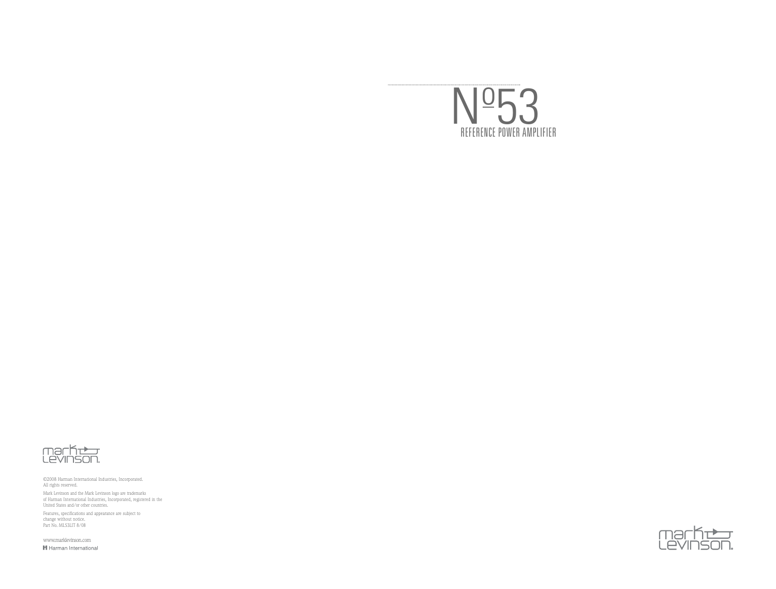



©2008 Harman International Industries, Incorporated. All rights reserved. Mark Levinson and the Mark Levinson logo are trademarks of Harman International Industries, Incorporated, registered in the United States and/or other countries.

Features, specifications and appearance are subject to change without notice. Part No. ML53LIT 8/08

www.marklevinson.comH Harman International

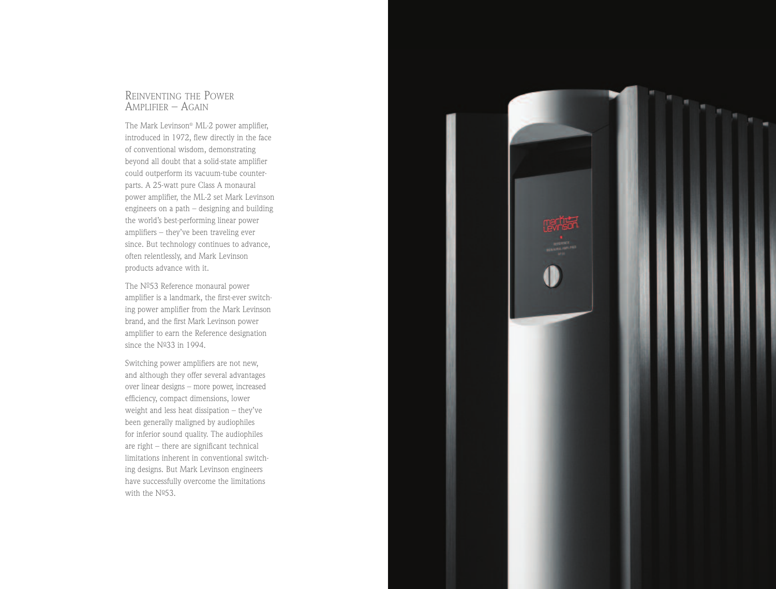#### REINVENTING THE POWER AMPLIFIER – AGAIN

The Mark Levinson® ML-2 power amplifier, introduced in 1972, flew directly in the face of conventional wisdom, demonstrating beyond all doubt that a solid-state amplifier could outperform its vacuum-tube counterparts. A 25-watt pure Class A monaural power amplifier, the ML-2 set Mark Levinson engineers on a path – designing and building the world's best-performing linear power amplifiers – they've been traveling ever since. But technology continues to advance, often relentlessly, and Mark Levinson products advance with it.

The Nº53 Reference monaural power amplifier is a landmark, the first-ever switching power amplifier from the Mark Levinson brand, and the first Mark Levinson power amplifier to earn the Reference designation since the  $N<sup>0</sup>33$  in 1994.

Switching power amplifiers are not new, and although they offer several advantages over linear designs – more power, increased efficiency, compact dimensions, lower weight and less heat dissipation – they've been generally maligned by audiophiles for inferior sound quality. The audiophiles are right – there are significant technical limitations inherent in conventional switching designs. But Mark Levinson engineers have successfully overcome the limitations with the  $N<sup>0</sup>53$ .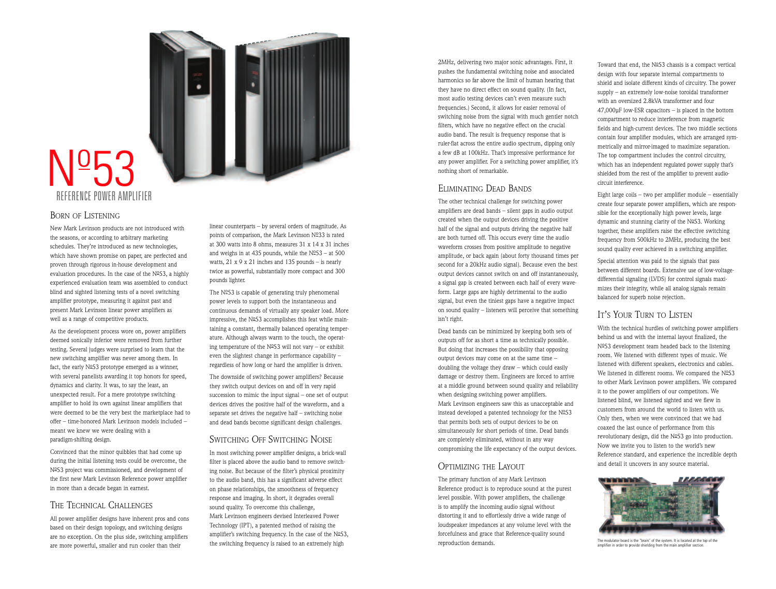# NO<sub>5</sub>3 REFERENCE POWER AMPLIFIER

#### BORN OF LISTENING

New Mark Levinson products are not introduced with the seasons, or according to arbitrary marketing schedules. They're introduced as new technologies, which have shown promise on paper, are perfected and proven through rigorous in-house development and evaluation procedures. In the case of the  $N<sup>o</sup>53$ , a highly experienced evaluation team was assembled to conduct blind and sighted listening tests of a novel switching amplifier prototype, measuring it against past and present Mark Levinson linear power amplifiers as well as a range of competitive products.

As the development process wore on, power amplifiers deemed sonically inferior were removed from further testing. Several judges were surprised to learn that the new switching amplifier was never among them. In fact, the early  $N^{\circ}$ 53 prototype emerged as a winner, with several panelists awarding it top honors for speed, dynamics and clarity. It was, to say the least, an unexpected result. For a mere prototype switching amplifier to hold its own against linear amplifiers that were deemed to be the very best the marketplace had to offer – time-honored Mark Levinson models included – meant we knew we were dealing with a paradigm-shifting design.

Convinced that the minor quibbles that had come up during the initial listening tests could be overcome, the Nº53 project was commissioned, and development of the first new Mark Levinson Reference power amplifier in more than a decade began in earnest.

#### THE TECHNICAL CHALLENGES

All power amplifier designs have inherent pros and cons based on their design topology, and switching designs are no exception. On the plus side, switching amplifiers are more powerful, smaller and run cooler than their

linear counterparts – by several orders of magnitude. As points of comparison, the Mark Levinson  $N<sup>o</sup>33$  is rated at 300 watts into 8 ohms, measures 31 x 14 x 31 inches and weighs in at 435 pounds, while the  $N<sup>0</sup>53 - at 500$ watts,  $21 \times 9 \times 21$  inches and 135 pounds – is nearly twice as powerful, substantially more compact and 300 pounds lighter.

The  $N<sup>0</sup>53$  is capable of generating truly phenomenal power levels to support both the instantaneous and continuous demands of virtually any speaker load. More impressive, the  $N<sup>o</sup>53$  accomplishes this feat while maintaining a constant, thermally balanced operating temperature. Although always warm to the touch, the operating temperature of the  $N<sup>o</sup>53$  will not vary – or exhibit even the slightest change in performance capability – regardless of how long or hard the amplifier is driven.

The downside of switching power amplifiers? Because they switch output devices on and off in very rapid succession to mimic the input signal – one set of output devices drives the positive half of the waveform, and a separate set drives the negative half – switching noise and dead bands become significant design challenges.

#### SWITCHING OFF SWITCHING NOISE

In most switching power amplifier designs, a brick-wall filter is placed above the audio band to remove switching noise. But because of the filter's physical proximity to the audio band, this has a significant adverse effect on phase relationships, the smoothness of frequency response and imaging. In short, it degrades overall sound quality. To overcome this challenge, Mark Levinson engineers devised Interleaved Power Technology (IPT), a patented method of raising the amplifier's switching frequency. In the case of the  $N<sup>0</sup>53$ , the switching frequency is raised to an extremely high

2MHz, delivering two major sonic advantages. First, it pushes the fundamental switching noise and associated harmonics so far above the limit of human hearing that they have no direct effect on sound quality. (In fact, most audio testing devices can't even measure such frequencies.) Second, it allows for easier removal of switching noise from the signal with much gentler notch filters, which have no negative effect on the crucial audio band. The result is frequency response that is ruler-flat across the entire audio spectrum, dipping only a few dB at 100kHz. That's impressive performance for any power amplifier. For a switching power amplifier, it's nothing short of remarkable.

#### ELIMINATING DEAD BANDS

The other technical challenge for switching power amplifiers are dead bands – silent gaps in audio output created when the output devices driving the positive half of the signal and outputs driving the negative half are both turned off. This occurs every time the audio waveform crosses from positive amplitude to negative amplitude, or back again (about forty thousand times per second for a 20kHz audio signal). Because even the best output devices cannot switch on and off instantaneously, a signal gap is created between each half of every waveform. Large gaps are highly detrimental to the audio signal, but even the tiniest gaps have a negative impact on sound quality – listeners will perceive that something isn't right.

Dead bands can be minimized by keeping both sets of outputs off for as short a time as technically possible. But doing that increases the possibility that opposing output devices may come on at the same time – doubling the voltage they draw – which could easily damage or destroy them. Engineers are forced to arrive at a middle ground between sound quality and reliability when designing switching power amplifiers. Mark Levinson engineers saw this as unacceptable and instead developed a patented technology for the  $N<sup>0</sup>53$ that permits both sets of output devices to be on simultaneously for short periods of time. Dead bands are completely eliminated, without in any way compromising the life expectancy of the output devices.

#### OPTIMIZING THE LAYOUT

The primary function of any Mark Levinson Reference product is to reproduce sound at the purest level possible. With power amplifiers, the challenge is to amplify the incoming audio signal without distorting it and to effortlessly drive a wide range of loudspeaker impedances at any volume level with the forcefulness and grace that Reference-quality sound reproduction demands.

Toward that end, the  $N<sup>0</sup>53$  chassis is a compact vertical design with four separate internal compartments to shield and isolate different kinds of circuitry. The power supply – an extremely low-noise toroidal transformer with an oversized 2.8kVA transformer and four 47,000µF low-ESR capacitors – is placed in the bottom compartment to reduce interference from magnetic fields and high-current devices. The two middle sections contain four amplifier modules, which are arranged symmetrically and mirror-imaged to maximize separation. The top compartment includes the control circuitry, which has an independent regulated power supply that's shielded from the rest of the amplifier to prevent audiocircuit interference.

Eight large coils – two per amplifier module – essentially create four separate power amplifiers, which are responsible for the exceptionally high power levels, large dynamic and stunning clarity of the  $N<sup>o</sup>53$ . Working together, these amplifiers raise the effective switching frequency from 500kHz to 2MHz, producing the best sound quality ever achieved in a switching amplifier.

Special attention was paid to the signals that pass between different boards. Extensive use of low-voltagedifferential signaling (LVDS) for control signals maximizes their integrity, while all analog signals remain balanced for superb noise rejection.

### IT'S YOUR TURN TO LISTEN

With the technical hurdles of switching power amplifiers behind us and with the internal layout finalized, the Nº53 development team headed back to the listening room. We listened with different types of music. We listened with different speakers, electronics and cables. We listened in different rooms. We compared the  $N^{\circ}$ 53 to other Mark Levinson power amplifiers. We compared it to the power amplifiers of our competitors. We listened blind, we listened sighted and we flew in customers from around the world to listen with us. Only then, when we were convinced that we had coaxed the last ounce of performance from this revolutionary design, did the Nº53 go into production. Now we invite you to listen to the world's new Reference standard, and experience the incredible depth and detail it uncovers in any source material.



The modulator board is the "brain" of the system. It is located at the top of the amplifier in order to provide shielding from the main amplifier section.